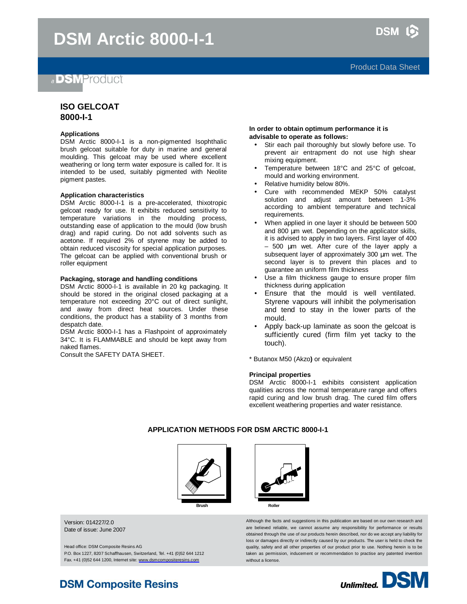# a **DSMProduct**

# **ISO GELCOAT 8000-I-1**

### **Applications**

DSM Arctic 8000-I-1 is a non-pigmented Isophthalic brush gelcoat suitable for duty in marine and general moulding. This gelcoat may be used where excellent weathering or long term water exposure is called for. It is intended to be used, suitably pigmented with Neolite pigment pastes.

#### **Application characteristics**

DSM Arctic 8000-I-1 is a pre-accelerated, thixotropic gelcoat ready for use. It exhibits reduced sensitivity to temperature variations in the moulding process, outstanding ease of application to the mould (low brush drag) and rapid curing. Do not add solvents such as acetone. If required 2% of styrene may be added to obtain reduced viscosity for special application purposes. The gelcoat can be applied with conventional brush or roller equipment

### **Packaging, storage and handling conditions**

DSM Arctic 8000-I-1 is available in 20 kg packaging. It should be stored in the original closed packaging at a temperature not exceeding 20°C out of direct sunlight, and away from direct heat sources. Under these conditions, the product has a stability of 3 months from despatch date.

DSM Arctic 8000-I-1 has a Flashpoint of approximately 34°C. It is FLAMMABLE and should be kept away from naked flames.

Consult the SAFETY DATA SHEET.

#### **In order to obtain optimum performance it is advisable to operate as follows:**

- Stir each pail thoroughly but slowly before use. To prevent air entrapment do not use high shear mixing equipment.
- Temperature between 18°C and 25°C of gelcoat, mould and working environment.
- Relative humidity below 80%.
- Cure with recommended MEKP 50% catalyst solution and adjust amount between 1-3% according to ambient temperature and technical requirements.
- When applied in one layer it should be between 500 and 800 μm wet. Depending on the applicator skills, it is advised to apply in two layers. First layer of 400 – 500 μm wet. After cure of the layer apply a subsequent layer of approximately 300 μm wet. The second layer is to prevent thin places and to guarantee an uniform film thickness
- Use a film thickness gauge to ensure proper film thickness during application
- Ensure that the mould is well ventilated. Styrene vapours will inhibit the polymerisation and tend to stay in the lower parts of the mould.
- Apply back-up laminate as soon the gelcoat is sufficiently cured (firm film yet tacky to the touch).

\* Butanox M50 (Akzo**)** or equivalent

#### **Principal properties**

DSM Arctic 8000-I-1 exhibits consistent application qualities across the normal temperature range and offers rapid curing and low brush drag. The cured film offers excellent weathering properties and water resistance.

### **APPLICATION METHODS FOR DSM ARCTIC 8000-I-1**





Version: 014227/2.0 Date of issue: June 2007

Head office: DSM Composite Resins AG P.O. Box 1227, 8207 Schaffhausen, Switzerland, Tel. +41 (0)52 644 1212 Fax. +41 (0)52 644 1200, Internet site: [www.dsmcompositeresins.com](http://www.dsmcompositeresins.com)

Although the facts and suggestions in this publication are based on our own research and are believed reliable, we cannot assume any responsibility for performance or results obtained through the use of our products herein described, nor do we accept any liability for loss or damages directly or indirectly caused by our products. The user is held to check the quality, safety and all other properties of our product prior to use. Nothing herein is to be taken as permission, inducement or recommendation to practise any patented invention without a license.



# **DSM Composite Resins**